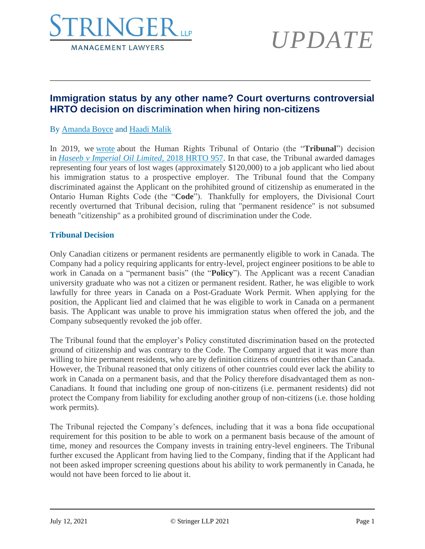

# *UPDATE*

### **Immigration status by any other name? Court overturns controversial HRTO decision on discrimination when hiring non-citizens**

\_\_\_\_\_\_\_\_\_\_\_\_\_\_\_\_\_\_\_\_\_\_\_\_\_\_\_\_\_\_\_\_\_\_\_\_\_\_\_\_\_\_\_\_\_\_\_\_\_\_\_\_\_\_\_\_\_\_\_\_\_\_\_\_\_\_\_\_\_\_\_\_\_\_\_\_\_

### By [Amanda Boyce](https://www.stringerllp.com/our-team/amanda-boyce) and [Haadi Malik](https://www.stringerllp.com/our-team/haadi-malik)

In 2019, we [wrote](https://www.stringerllp.com/hr-blog/tribunal-awards-four-years-lost-wages-to-job-applicant-who-lied-about-immigration-status) about the Human Rights Tribunal of Ontario (the "**Tribunal**") decision in *[Haseeb v Imperial Oil Limited](https://www.stringerllp.com/uploads/ckeditor/attachment_files/839/haseeb-imperial-oil.pdf)*, 2018 HRTO 957. In that case, the Tribunal awarded damages representing four years of lost wages (approximately \$120,000) to a job applicant who lied about his immigration status to a prospective employer. The Tribunal found that the Company discriminated against the Applicant on the prohibited ground of citizenship as enumerated in the Ontario Human Rights Code (the "**Code**"). Thankfully for employers, the Divisional Court recently overturned that Tribunal decision, ruling that "permanent residence" is not subsumed beneath "citizenship" as a prohibited ground of discrimination under the Code.

#### **Tribunal Decision**

Only Canadian citizens or permanent residents are permanently eligible to work in Canada. The Company had a policy requiring applicants for entry-level, project engineer positions to be able to work in Canada on a "permanent basis" (the "**Policy**"). The Applicant was a recent Canadian university graduate who was not a citizen or permanent resident. Rather, he was eligible to work lawfully for three years in Canada on a Post-Graduate Work Permit. When applying for the position, the Applicant lied and claimed that he was eligible to work in Canada on a permanent basis. The Applicant was unable to prove his immigration status when offered the job, and the Company subsequently revoked the job offer.

The Tribunal found that the employer's Policy constituted discrimination based on the protected ground of citizenship and was contrary to the Code. The Company argued that it was more than willing to hire permanent residents, who are by definition citizens of countries other than Canada. However, the Tribunal reasoned that only citizens of other countries could ever lack the ability to work in Canada on a permanent basis, and that the Policy therefore disadvantaged them as non-Canadians. It found that including one group of non-citizens (i.e. permanent residents) did not protect the Company from liability for excluding another group of non-citizens (i.e. those holding work permits).

The Tribunal rejected the Company's defences, including that it was a bona fide occupational requirement for this position to be able to work on a permanent basis because of the amount of time, money and resources the Company invests in training entry-level engineers. The Tribunal further excused the Applicant from having lied to the Company, finding that if the Applicant had not been asked improper screening questions about his ability to work permanently in Canada, he would not have been forced to lie about it.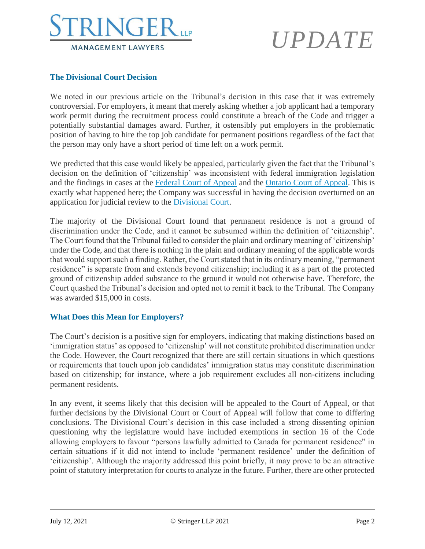

## *UPDATE*

#### **The Divisional Court Decision**

We noted in our previous article on the Tribunal's decision in this case that it was extremely controversial. For employers, it meant that merely asking whether a job applicant had a temporary work permit during the recruitment process could constitute a breach of the Code and trigger a potentially substantial damages award. Further, it ostensibly put employers in the problematic position of having to hire the top job candidate for permanent positions regardless of the fact that the person may only have a short period of time left on a work permit.

We predicted that this case would likely be appealed, particularly given the fact that the Tribunal's decision on the definition of 'citizenship' was inconsistent with federal immigration legislation and the findings in cases at the [Federal Court of Appeal](https://canlii.ca/t/fm4v6) and the [Ontario Court of Appeal.](https://canlii.ca/t/1fbmk) This is exactly what happened here; the Company was successful in having the decision overturned on an application for judicial review to the [Divisional Court.](https://canlii.ca/t/jg64f)

The majority of the Divisional Court found that permanent residence is not a ground of discrimination under the Code, and it cannot be subsumed within the definition of 'citizenship'. The Court found that the Tribunal failed to consider the plain and ordinary meaning of 'citizenship' under the Code, and that there is nothing in the plain and ordinary meaning of the applicable words that would support such a finding. Rather, the Court stated that in its ordinary meaning, "permanent residence" is separate from and extends beyond citizenship; including it as a part of the protected ground of citizenship added substance to the ground it would not otherwise have. Therefore, the Court quashed the Tribunal's decision and opted not to remit it back to the Tribunal. The Company was awarded \$15,000 in costs.

### **What Does this Mean for Employers?**

The Court's decision is a positive sign for employers, indicating that making distinctions based on 'immigration status' as opposed to 'citizenship' will not constitute prohibited discrimination under the Code. However, the Court recognized that there are still certain situations in which questions or requirements that touch upon job candidates' immigration status may constitute discrimination based on citizenship; for instance, where a job requirement excludes all non-citizens including permanent residents.

In any event, it seems likely that this decision will be appealed to the Court of Appeal, or that further decisions by the Divisional Court or Court of Appeal will follow that come to differing conclusions. The Divisional Court's decision in this case included a strong dissenting opinion questioning why the legislature would have included exemptions in section 16 of the Code allowing employers to favour "persons lawfully admitted to Canada for permanent residence" in certain situations if it did not intend to include 'permanent residence' under the definition of 'citizenship'. Although the majority addressed this point briefly, it may prove to be an attractive point of statutory interpretation for courts to analyze in the future. Further, there are other protected